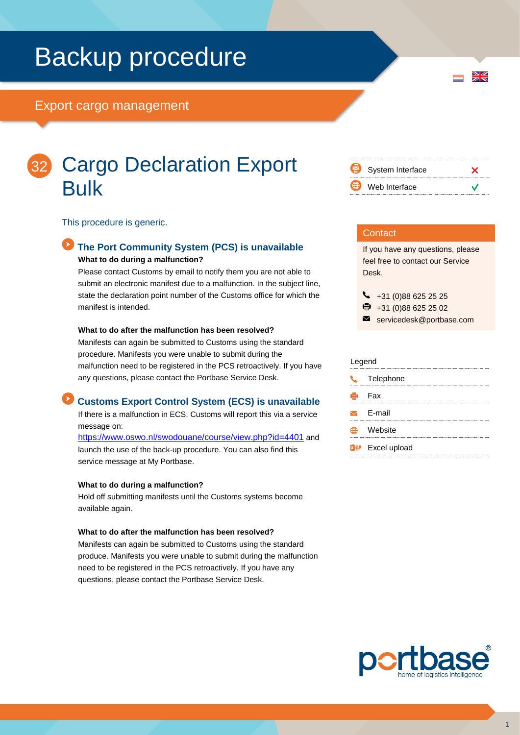# Backup procedure

# Export cargo management



# Cargo Declaration Export Bulk

This procedure is generic.

### **The Port Community System (PCS) is unavailable What to do during a malfunction?**

Please contact Customs by email to notify them you are not able to submit an electronic manifest due to a malfunction. In the subject line, state the declaration point number of the Customs office for which the manifest is intended.

#### **What to do after the malfunction has been resolved?**

Manifests can again be submitted to Customs using the standard procedure. Manifests you were unable to submit during the malfunction need to be registered in the PCS retroactively. If you have any questions, please contact the Portbase Service Desk.

## **Customs Export Control System (ECS) is unavailable**

If there is a malfunction in ECS, Customs will report this via a service message on:

<https://www.oswo.nl/swodouane/course/view.php?id=4401> and launch the use of the back-up procedure. You can also find this service message at My Portbase.

#### **What to do during a malfunction?**

Hold off submitting manifests until the Customs systems become available again.

#### **What to do after the malfunction has been resolved?**

Manifests can again be submitted to Customs using the standard produce. Manifests you were unable to submit during the malfunction need to be registered in the PCS retroactively. If you have any questions, please contact the Portbase Service Desk.



 $\frac{N}{Z}$ 

#### **Contact**

If you have any questions, please feel free to contact our Service Desk.

 $\begin{array}{r} \big\{\end{array}$  +31 (0)88 625 25 25

- $\bullet$  +31 (0)88 625 25 02
- servicedesk@portbase.com

#### Legend

| U. | Telephone                          |
|----|------------------------------------|
| e. | Fax                                |
|    | $\triangleright$ E-mail            |
|    | Website                            |
|    | <b>x</b> <sup>y</sup> Excel upload |